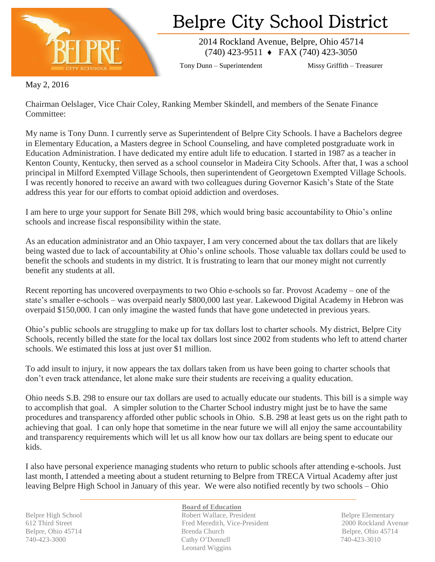

## Belpre City School District

2014 Rockland Avenue, Belpre, Ohio 45714 (740) 423-9511 ♦ FAX (740) 423-3050

Tony Dunn – Superintendent Missy Griffith – Treasurer

May 2, 2016

Chairman Oelslager, Vice Chair Coley, Ranking Member Skindell, and members of the Senate Finance Committee:

My name is Tony Dunn. I currently serve as Superintendent of Belpre City Schools. I have a Bachelors degree in Elementary Education, a Masters degree in School Counseling, and have completed postgraduate work in Education Administration. I have dedicated my entire adult life to education. I started in 1987 as a teacher in Kenton County, Kentucky, then served as a school counselor in Madeira City Schools. After that, I was a school principal in Milford Exempted Village Schools, then superintendent of Georgetown Exempted Village Schools. I was recently honored to receive an award with two colleagues during Governor Kasich's State of the State address this year for our efforts to combat opioid addiction and overdoses.

I am here to urge your support for Senate Bill 298, which would bring basic accountability to Ohio's online schools and increase fiscal responsibility within the state.

As an education administrator and an Ohio taxpayer, I am very concerned about the tax dollars that are likely being wasted due to lack of accountability at Ohio's online schools. Those valuable tax dollars could be used to benefit the schools and students in my district. It is frustrating to learn that our money might not currently benefit any students at all.

Recent reporting has uncovered overpayments to two Ohio e-schools so far. Provost Academy – one of the state's smaller e-schools – was overpaid nearly \$800,000 last year. Lakewood Digital Academy in Hebron was overpaid \$150,000. I can only imagine the wasted funds that have gone undetected in previous years.

Ohio's public schools are struggling to make up for tax dollars lost to charter schools. My district, Belpre City Schools, recently billed the state for the local tax dollars lost since 2002 from students who left to attend charter schools. We estimated this loss at just over \$1 million.

To add insult to injury, it now appears the tax dollars taken from us have been going to charter schools that don't even track attendance, let alone make sure their students are receiving a quality education.

Ohio needs S.B. 298 to ensure our tax dollars are used to actually educate our students. This bill is a simple way to accomplish that goal. A simpler solution to the Charter School industry might just be to have the same procedures and transparency afforded other public schools in Ohio. S.B. 298 at least gets us on the right path to achieving that goal. I can only hope that sometime in the near future we will all enjoy the same accountability and transparency requirements which will let us all know how our tax dollars are being spent to educate our kids.

I also have personal experience managing students who return to public schools after attending e-schools. Just last month, I attended a meeting about a student returning to Belpre from TRECA Virtual Academy after just leaving Belpre High School in January of this year. We were also notified recently by two schools – Ohio

 **Board of Education** Belpre High School **Robert Wallace, President** Belpre Elementary Belpre Elementary 612 Third Street Fred Meredith, Vice-President 2000 Rockland Avenue Belpre, Ohio 45714 Brenda Church Belpre, Ohio 45714 740-423-3000 Cathy O'Donnell 740-423-3010 Leonard Wiggins